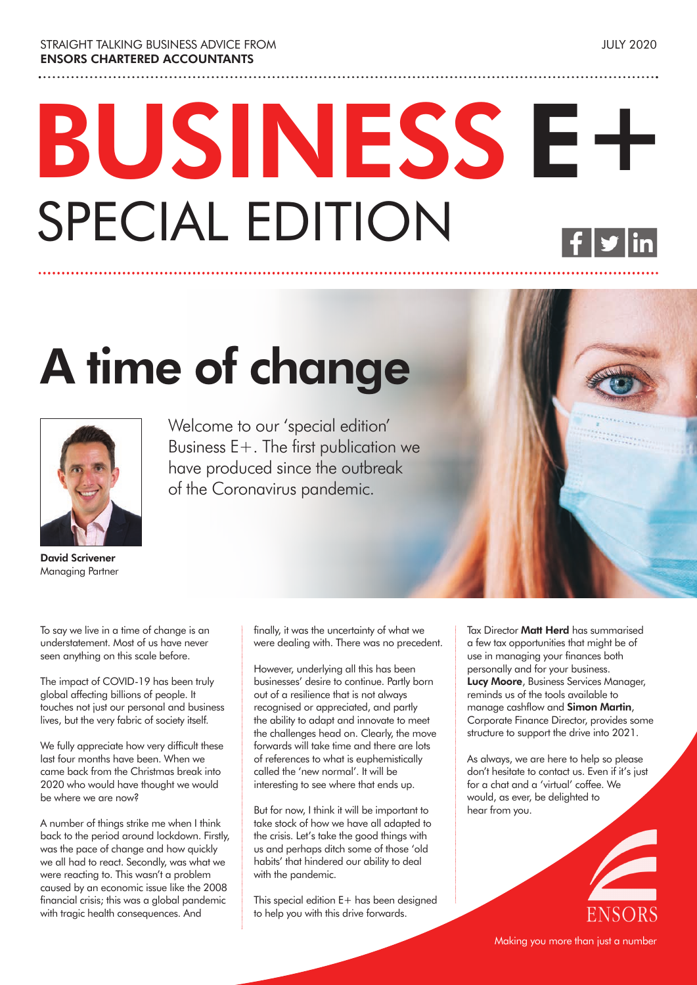# **BUSINESS E+** SPECIAL EDITION

## **A time of change**



Welcome to our 'special edition' Business E+. The first publication we have produced since the outbreak of the Coronavirus pandemic.

**David Scrivener**  Managing Partner

To say we live in a time of change is an understatement. Most of us have never seen anything on this scale before.

The impact of COVID-19 has been truly global affecting billions of people. It touches not just our personal and business lives, but the very fabric of society itself.

We fully appreciate how very difficult these last four months have been. When we came back from the Christmas break into 2020 who would have thought we would be where we are now?

A number of things strike me when I think back to the period around lockdown. Firstly, was the pace of change and how quickly we all had to react. Secondly, was what we were reacting to. This wasn't a problem caused by an economic issue like the 2008 financial crisis; this was a global pandemic with tragic health consequences. And

finally, it was the uncertainty of what we were dealing with. There was no precedent.

However, underlying all this has been businesses' desire to continue. Partly born out of a resilience that is not always recognised or appreciated, and partly the ability to adapt and innovate to meet the challenges head on. Clearly, the move forwards will take time and there are lots of references to what is euphemistically called the 'new normal'. It will be interesting to see where that ends up.

But for now, I think it will be important to take stock of how we have all adapted to the crisis. Let's take the good things with us and perhaps ditch some of those 'old habits' that hindered our ability to deal with the pandemic.

This special edition E+ has been designed to help you with this drive forwards.

Tax Director **Matt Herd** has summarised a few tax opportunities that might be of use in managing your finances both personally and for your business. **Lucy Moore**, Business Services Manager, reminds us of the tools available to manage cashflow and **Simon Martin**, Corporate Finance Director, provides some structure to support the drive into 2021.

As always, we are here to help so please don't hesitate to contact us. Even if it's just for a chat and a 'virtual' coffee. We would, as ever, be delighted to hear from you.

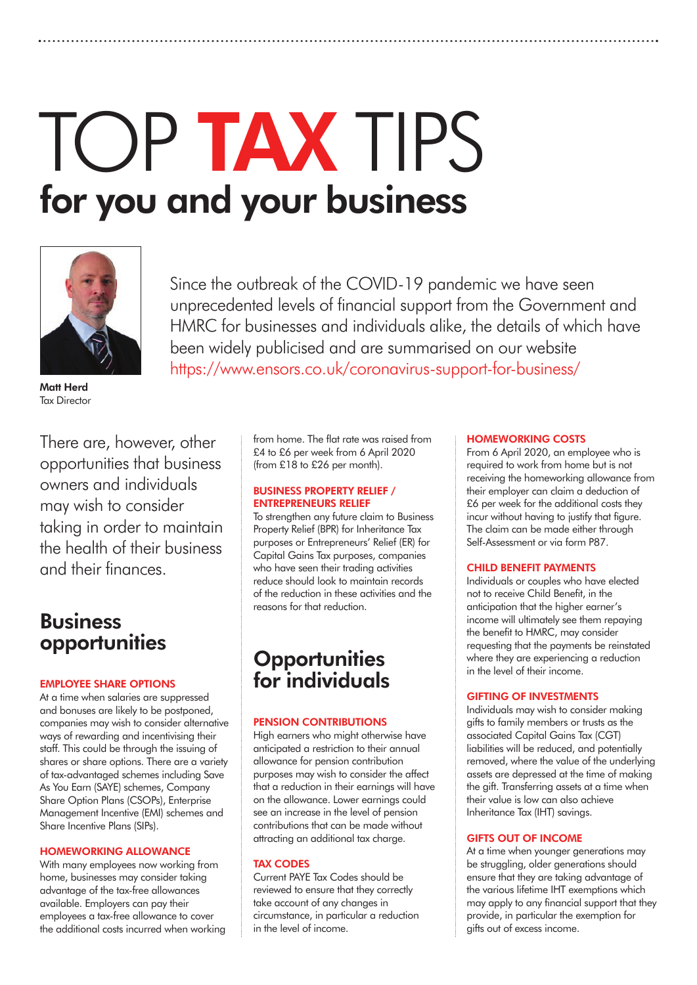## TOP **TAX** TIPS **for you and your business**



Since the outbreak of the COVID-19 pandemic we have seen unprecedented levels of financial support from the Government and HMRC for businesses and individuals alike, the details of which have been widely publicised and are summarised on our website https://www.ensors.co.uk/coronavirus-support-for-business/

**Matt Herd** Tax Director

There are, however, other opportunities that business owners and individuals may wish to consider taking in order to maintain the health of their business and their finances.

#### **Business opportunities**

#### **EMPLOYEE SHARE OPTIONS**

At a time when salaries are suppressed and bonuses are likely to be postponed, companies may wish to consider alternative ways of rewarding and incentivising their staff. This could be through the issuing of shares or share options. There are a variety of tax-advantaged schemes including Save As You Earn (SAYE) schemes, Company Share Option Plans (CSOPs), Enterprise Management Incentive (EMI) schemes and Share Incentive Plans (SIPs).

#### **HOMEWORKING ALLOWANCE**

With many employees now working from home, businesses may consider taking advantage of the tax-free allowances available. Employers can pay their employees a tax-free allowance to cover the additional costs incurred when working from home. The flat rate was raised from £4 to £6 per week from 6 April 2020 (from £18 to £26 per month).

#### **BUSINESS PROPERTY RELIEF / ENTREPRENEURS RELIEF**

To strengthen any future claim to Business Property Relief (BPR) for Inheritance Tax purposes or Entrepreneurs' Relief (ER) for Capital Gains Tax purposes, companies who have seen their trading activities reduce should look to maintain records of the reduction in these activities and the reasons for that reduction.

#### **Opportunities for individuals**

#### **PENSION CONTRIBUTIONS**

High earners who might otherwise have anticipated a restriction to their annual allowance for pension contribution purposes may wish to consider the affect that a reduction in their earnings will have on the allowance. Lower earnings could see an increase in the level of pension contributions that can be made without attracting an additional tax charge.

#### **TAX CODES**

Current PAYE Tax Codes should be reviewed to ensure that they correctly take account of any changes in circumstance, in particular a reduction in the level of income.

#### **HOMEWORKING COSTS**

From 6 April 2020, an employee who is required to work from home but is not receiving the homeworking allowance from their employer can claim a deduction of £6 per week for the additional costs they incur without having to justify that figure. The claim can be made either through Self-Assessment or via form P87.

#### **CHILD BENEFIT PAYMENTS**

Individuals or couples who have elected not to receive Child Benefit, in the anticipation that the higher earner's income will ultimately see them repaying the benefit to HMRC, may consider requesting that the payments be reinstated where they are experiencing a reduction in the level of their income.

#### **GIFTING OF INVESTMENTS**

Individuals may wish to consider making gifts to family members or trusts as the associated Capital Gains Tax (CGT) liabilities will be reduced, and potentially removed, where the value of the underlying assets are depressed at the time of making the gift. Transferring assets at a time when their value is low can also achieve Inheritance Tax (IHT) savings.

#### **GIFTS OUT OF INCOME**

At a time when younger generations may be struggling, older generations should ensure that they are taking advantage of the various lifetime IHT exemptions which may apply to any financial support that they provide, in particular the exemption for gifts out of excess income.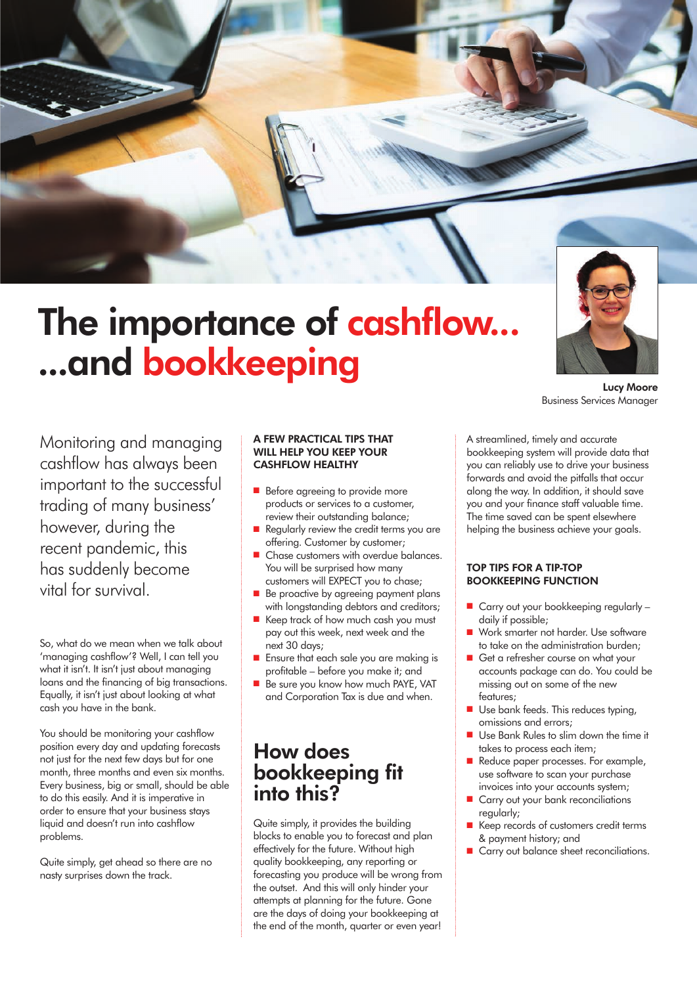

### **The importance of cashflow... ...and bookkeeping**

Monitoring and managing cashflow has always been important to the successful trading of many business' however, during the recent pandemic, this has suddenly become vital for survival.

So, what do we mean when we talk about 'managing cashflow'? Well, I can tell you what it isn't. It isn't just about managing loans and the financing of big transactions. Equally, it isn't just about looking at what cash you have in the bank.

You should be monitoring your cashflow position every day and updating forecasts not just for the next few days but for one month, three months and even six months. Every business, big or small, should be able to do this easily. And it is imperative in order to ensure that your business stays liquid and doesn't run into cashflow problems.

Quite simply, get ahead so there are no nasty surprises down the track.

#### **A FEW PRACTICAL TIPS THAT WILL HELP YOU KEEP YOUR CASHFLOW HEALTHY**

- $\blacksquare$  Before agreeing to provide more products or services to a customer, review their outstanding balance;
- Regularly review the credit terms you are offering. Customer by customer;
- Chase customers with overdue balances. You will be surprised how many customers will EXPECT you to chase;
- Be proactive by agreeing payment plans with longstanding debtors and creditors;
- Keep track of how much cash you must pay out this week, next week and the next 30 days;
- Ensure that each sale you are making is profitable – before you make it; and
- Be sure you know how much PAYE, VAT and Corporation Tax is due and when.

#### **How does bookkeeping fit into this?**

Quite simply, it provides the building blocks to enable you to forecast and plan effectively for the future. Without high quality bookkeeping, any reporting or forecasting you produce will be wrong from the outset. And this will only hinder your attempts at planning for the future. Gone are the days of doing your bookkeeping at the end of the month, quarter or even year!

A streamlined, timely and accurate bookkeeping system will provide data that you can reliably use to drive your business forwards and avoid the pitfalls that occur along the way. In addition, it should save you and your finance staff valuable time. The time saved can be spent elsewhere helping the business achieve your goals.

**Lucy Moore**

Business Services Manager

#### **TOP TIPS FOR A TIP-TOP BOOKKEEPING FUNCTION**

- $\blacksquare$  Carry out your bookkeeping regularly daily if possible;
- n Work smarter not harder. Use software to take on the administration burden;
- Get a refresher course on what your accounts package can do. You could be missing out on some of the new features;
- **D** Use bank feeds. This reduces typing, omissions and errors;
- Use Bank Rules to slim down the time it takes to process each item;
- Reduce paper processes. For example, use software to scan your purchase invoices into your accounts system;
- Carry out your bank reconciliations regularly;
- Keep records of customers credit terms & payment history; and
- Carry out balance sheet reconciliations.